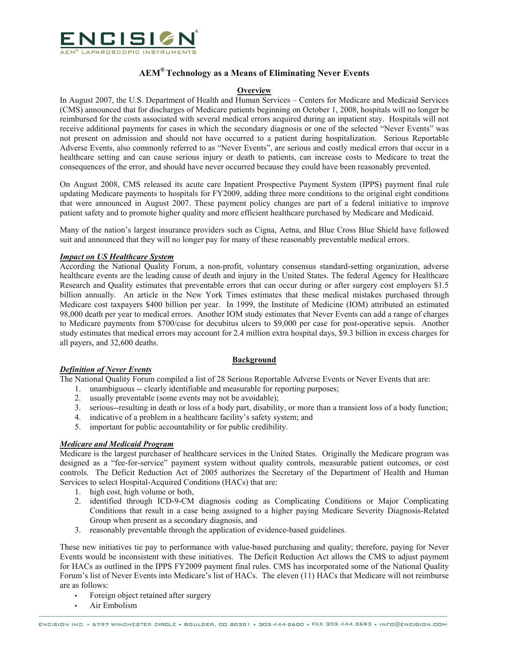

# **AEM® Technology as a Means of Eliminating Never Events**

### **Overview**

In August 2007, the U.S. Department of Health and Human Services – Centers for Medicare and Medicaid Services (CMS) announced that for discharges of Medicare patients beginning on October 1, 2008, hospitals will no longer be reimbursed for the costs associated with several medical errors acquired during an inpatient stay. Hospitals will not receive additional payments for cases in which the secondary diagnosis or one of the selected "Never Events" was not present on admission and should not have occurred to a patient during hospitalization. Serious Reportable Adverse Events, also commonly referred to as "Never Events", are serious and costly medical errors that occur in a healthcare setting and can cause serious injury or death to patients, can increase costs to Medicare to treat the consequences of the error, and should have never occurred because they could have been reasonably prevented.

On August 2008, CMS released its acute care Inpatient Prospective Payment System (IPPS) payment final rule updating Medicare payments to hospitals for FY2009, adding three more conditions to the original eight conditions that were announced in August 2007. These payment policy changes are part of a federal initiative to improve patient safety and to promote higher quality and more efficient healthcare purchased by Medicare and Medicaid.

Many of the nation's largest insurance providers such as Cigna, Aetna, and Blue Cross Blue Shield have followed suit and announced that they will no longer pay for many of these reasonably preventable medical errors.

### *Impact on US Healthcare System*

According the National Quality Forum, a non-profit, voluntary consensus standard-setting organization, adverse healthcare events are the leading cause of death and injury in the United States. The federal Agency for Healthcare Research and Quality estimates that preventable errors that can occur during or after surgery cost employers \$1.5 billion annually. An article in the New York Times estimates that these medical mistakes purchased through Medicare cost taxpayers \$400 billion per year. In 1999, the Institute of Medicine (IOM) attributed an estimated 98,000 death per year to medical errors. Another IOM study estimates that Never Events can add a range of charges to Medicare payments from \$700/case for decubitus ulcers to \$9,000 per case for post-operative sepsis. Another study estimates that medical errors may account for 2.4 million extra hospital days, \$9.3 billion in excess charges for all payers, and 32,600 deaths.

#### **Background**

### *Definition of Never Events*

The National Quality Forum compiled a list of 28 Serious Reportable Adverse Events or Never Events that are:

- 1. unambiguous -- clearly identifiable and measurable for reporting purposes;
- 2. usually preventable (some events may not be avoidable);
- 3. serious--resulting in death or loss of a body part, disability, or more than a transient loss of a body function;
- 4. indicative of a problem in a healthcare facility's safety system; and
- 5. important for public accountability or for public credibility.

## *Medicare and Medicaid Program*

Medicare is the largest purchaser of healthcare services in the United States. Originally the Medicare program was designed as a "fee-for-service" payment system without quality controls, measurable patient outcomes, or cost controls. The Deficit Reduction Act of 2005 authorizes the Secretary of the Department of Health and Human Services to select Hospital-Acquired Conditions (HACs) that are:

- 1. high cost, high volume or both,
- 2. identified through ICD-9-CM diagnosis coding as Complicating Conditions or Major Complicating Conditions that result in a case being assigned to a higher paying Medicare Severity Diagnosis-Related Group when present as a secondary diagnosis, and
- 3. reasonably preventable through the application of evidence-based guidelines.

These new initiatives tie pay to performance with value-based purchasing and quality; therefore, paying for Never Events would be inconsistent with these initiatives. The Deficit Reduction Act allows the CMS to adjust payment for HACs as outlined in the IPPS FY2009 payment final rules. CMS has incorporated some of the National Quality Forum's list of Never Events into Medicare's list of HACs. The eleven (11) HACs that Medicare will not reimburse are as follows:

- Foreign object retained after surgery
- Air Embolism